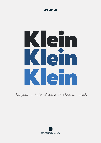

# Klein Klein Klein

*The geometric typeface with a human touch*

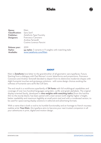| <b>Name:</b>                                                | Klein                                                                                      |
|-------------------------------------------------------------|--------------------------------------------------------------------------------------------|
| <b>Classification:</b>                                      | Sans Serif                                                                                 |
| <b>Publisher:</b>                                           | Zetafonts Type Foundry                                                                     |
| <b>Designers:</b>                                           | Francesco Canovaro                                                                         |
|                                                             | Andrea Tartarelli                                                                          |
|                                                             | Cosimo Lorenzo Pancini                                                                     |
| <b>Release year:</b><br><b>Styles:</b><br><b>Available:</b> | 2019<br>54 styles: 3 variants in 9 weights with matching italic<br>www.zetafonts.com/Klein |

### ABOUT

Klein is **Zetafonts** love letter to the grandmother of all geometric sans typefaces, Futura. Starting from a dialogue with Paul Renner's iconic letterforms and proportions, *Francesco Canovaro* and *Andrea Tartarelli* decided to depart from its distinctive modernist shapes with slight humanist touches and grotesque solutions - with some design choices evoking the softness of humanist sans serifs like Gill Sans.

The end result is a workhorse superfamily of **54 fonts** with full multilingual capabilities and coverage of over two hundred languages using latin, cyrillic and greek alphabets. The original display-oriented family, developed in **nine weights with matching italics** (from the hairline thin to the sturdy black), has been paired with a *text version* (with slightly higher x-height, better readability and maximum legibility at small point size) and with a *condensed version*, to be used for space-saving display solutions in editorial and advertising formats.

With a name that is both a nod to its humble functionality and an homage to french nouveau realiste artist **Yves Klein**, this typeface aims to become your next trusted companion in all your adventures in print, digital and motion design.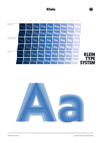



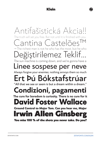Antifašistická Akcia!! The truth will set you free. But not until it is finished with you. antina Castel  $\rightarrow$  The richest man is not he who has the most, but he who eğiştirilemez leklif. The sun machine is coming down, and we're gonna have a Linee sospese per neve Always forgive your enemies; nothing annoys them so much Ert Þú Bókstafstrúar "All that we see or seem is but a dream within a dream." **Condizioni, pagamenti The cure for boredom is curiosity. There is no cure for it David Foster Wallace Ground Control to Major Tom. Can you hear me, Major** Irwin Allen Ginsberg You miss 100 % of the shots you never take. Do you?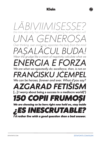*LÄBIVIIMISESSE? the man who only has a hammer, everything he encounters will UNA GENEROSA Over thinking, over analyzing, separates the body from the mind PAȘALÂCUL BUDA! Wear the grudge like a crown of negativity calculate what we ENERGIA E FORZA We are what we repeatedly do; excellence, then, is not an FRANĠISKU JĊEMPEL We can be heroes, forever and ever. What d'you say? AZGARAD FETIŠISM* **[...] I worry about being a success in a mediocre world(2)** *150 COPII FRUMOȘI We are choosing to be here right now hold on, stay inside ¿ES INESCRUTABLE? I'd rather live with a good question than a bad answer.*

 $\overline{\phantom{a}}$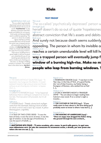

### TEXT PROOF

Light&Medium Italic 9 pt Thin 20 pt

The so-called 'psychotically depressed' person who tries to kill herself doesn't do so out of quote *'hopelessness'* or any abstract conviction that life's assets and debits do not square. And surely not because death seems suddenly appealing. The person in whom Its invisible agony reaches a certain unendurable level will kill herself the same way a trapped person will eventually jump from the window of *a burning high-rise.*  Make no mistake about people who leap from burning windows. Their terror of falling from a great height is still just as great as it would be for you or me standing speculatively at the same window just checking out the view; i.e. the fear of falling remains a constant. The variable here is the other terror, **the fire's** *ames.*

The so-called 'psychotically depressed' person w ExtraLight 20 pt

herself doesn't do so out of quote 'hopelessnes abstract conviction that life's assets and debits Light 20 pt

And surely not because death seems suddenly Book 20 pt Regular 20 pt

appealing. The person in whom Its invisible a Medium 20 pt

reaches a certain unendurable level will kill he Bold 20 pt

**way a trapped person will eventually jump f window of a burning high-rise. Make no m** people who leap from burning windows. Their terms Extrabold 20 pt Black 20 pt

1 *THE MAN WITHOUT QUALITIES (1930) -* "A barometric low hung over the Atlantic. It moved eastward toward a high-pressure area over Russia without as yet showing any inclination to bypass this  $\left[\ldots\right]_{\mu}$ 

### Extralight pt 10

2 *GRAVITY'S RAINBOW (1973)* - "It has happened before,but there is nothing to compare it to now.It is too late. The Evacuation still proceeds, but it's all theatre."

### Light pt 10

3 *ULYSSES (1922)* - "Stately, plump buck mulligan came from the stairhead, bearing a bowl of lather on which a mirror and a razor lay crossed. A yellow dressing gown, ungirdled,

### Book pt 10

4 *A TALE OF TWO CITIES (1859)* - "It was the best of times, it was the worst of times, it was the age of wisdom, it was the age of foolishness, it was the epoch of belief[ $\dots$ ]

### Black pt 10

Thin pt 10 and 10 and 10 and 10 and 10 and 10 and 10 and 10 and 10 and 10 and 10 and 10 and 10 and 10 and 10 and 10 and 10 and 10 and 10 and 10 and 10 and 10 and 10 and 10 and 10 and 10 and 10 and 10 and 10 and 10 and 10 a

5 ROBINSON CRUSOE (1719) - "I was born in the Year 1632, in the City of York, of a good Family, tho' not of that Country, my Father being a Foreigner of Bremen, who settled first at Hull  $\left[\ldots\right]_n$ 

### Medium pt 10

6 *IF ON A WINTER'S NIGHT A TRAVELER (1979)* - "You are about to begin reading Italo Calvino's new novel, If on a winter's night a traveler...

### Bold pt 10

**7** *THE CATCHER IN THE RYE (1951)* **- "If you**  really want to hear about it, the first thing you'll **probably want to know is where I was born [...]**

### Extrabold pt 10

**8** *THE MAKING OF AMERICANS (1925)* **- "Once an angry man dragged his father along**  the ground through his own orchard...

**9** *MATTATOIO №5 (1969) - "***È** tutto accaduto, più o meno. le parti sulla guerra, in ogni caso, sono abbastanza vere. Un tale che conoscevo fu veramente ucciso, a dresda, per aver preso una teiera che non era sua.  $\left[ \ldots \right]$ .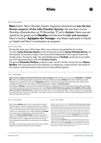### 20pt / 24 - Mixed Weights

**Nero** (Latin: *Nero Claudius Caesar Augustus Germanicus*) **was the last Roman emperor of the Julio-Claudian dynasty.** He was born *Lucius Domitius Ahenobarbus* on 15 December 37 ad in **Antium**. Nero was adopted by his great-uncle **Claudius** and became his **heir and successor.** Nero's mother, **Agrippina the Younger**, was likely implicated in Claudius' death and Nero's nomination as emperor.

### 16pt / 20 - Mixed Weights

*During the early years of his reign*, Nero was content to be guided by his mother, his tutor **Lucius Annaeus Seneca** and his Praetorian prefect, **Sextus Afranius Burrus**. As time passed, he started to play a more active and independent role in government and foreign policy. During his reign, the redoubtable general **Corbulo** conducted a successful war and negotiated peace with the **Parthian Empire**.

His general **Suetonius Paulinus** crushed a major revolt in Britain, led by the Iceni **Queen Boudica**. Nero focused much of his attention on diplomacy, trade and the cultural life of the empire, ordering theatres built and promoting athletic games.

### 12pt / 16 - Mixed Weights

**Nero's rule is usually associated with tyranny and extravagance.** Most Roman sources, such as **Suetonius** and **Cassius Dio**, offer overwhelmingly negative assessments of his personality and reign. **Tacitus** claims that "the Roman people *thought him compulsive and corrupt".* **Suetonius** tells that *"many Romans believed that the Great Fire of Rome was instigated by Nero to clear the way for his planned palatial complex, the Domus Aurea."*

According to Tacitus he was said to have seized Christians as scapegoats for the fire and burned them alive, seemingly motivated not by public justice but by personal cruelty. **Some modern historians question the reliability of the ancient sources on Nero's tyrannical acts.** A few sources paint Nero in a more favorable light. There is evidence of his popularity among the Roman commoners, especially in the eastern provinces of the Empire, where a popular legend arose that Nero had not died and would return.

10pt / 14 - Mixed Weights 8pt / 12 - Mixed Weights

Nero's father, **Domitius**, died in 40. A few years before his death, Domitius had been involved in a political scandal that, according to Malitz: *"could have cost him his life if Tiberius had not died in the year 37, since in the previous year, Nero's mother Agrippina had been caught up in a scandal of her own".* Caligula's beloved sister **Drusilla**  had recently died and Caligula began to feel threatened by his brother-in-law **Marcus Aemilius Lepidus**. Agrippina, suspected of adultery with her brother-in-law, was forced to carry the funerary urn after Lepidus' execution. Caligula then banished his two surviving sisters, Agrippina and Julia Livilla, to a remote island in the Mediterranean Sea.

According to *The Oxford Encyclopedia of Ancient Greece and Rome*, Agrippina was exiled for plotting to overthrow Caligula.

Caligula's reign lasted from 37 until 41. *He died from multiple stab wounds in January of 41* after being ambushed by his own Praetorian Guard on the Palatine Hill. Claudius succeeded Caligula as Emperor. Agrippina married Claudius in 49 ad and became his fourth wife. By February 49, she had persuaded Claudius to adopt her son Nero. After Nero's adoption, "Claudius" became part of his name: *Nero Claudius Caesar Drusus Germanicus.* Claudius had gold coins issued to mark the adoption. Classics professor Josiah Osgood has written that *"the coins, through their distribution and imagery alike, showed that a new Leader was in the making."* **David Shotter** noted that, despite events in Rome, Nero's step-brother Britannicus was more prominent in provincial coinages during the early 50s.

The ancient biographer **Suetonius**, who was critical of Nero's ancestors, wrote that Augustus had reproached Nero's grandfather for his unseemly enjoyment of violent gladiator games. According to **Jürgen Malitz**, Suetonius tells that Nero's father was known to be *"irascible and brutal",* and that both *"enjoyed chariot races and theater performances to a degree not befitting their position.*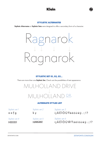



### STYLISTIC ALTERNATES

**Stylistic Alternates** or **Stylistic Sets** were designed to offer a secondary form of a character.



### STYLISTIC SET 01, 02, 03...

There are more than one **Stylistic Set.** Check out the possibilities of text appearance.

### MULHOLLAND DRIVE MULHOLLAND DR∙ <sup>↓</sup>

### ALTERNATE STYLES LIST

a e f g

k y

i j Ä Ë Ï Ö Ü Ÿä <sup>ë</sup> <sup>ö</sup> <sup>ü</sup> <sup>ẅ</sup> ÿ . : ; ! ? *Stylistic set 1 Stylistic set 3 Stylistic set 2*

HABEBE C

F*Stylistic set 5* HABCDEF

iij Ä Ë Ï Ö Ü Ŵ Ÿ ä ë ï ö ü ẅ ÿ .:;!? *Stylistic set 4 Stylistic set 6*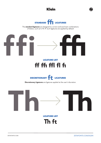





The **standard ligatures** are designed to correct awkward text combinations of letters, such as fi, ffi, ff. Such ligatures are applied by default

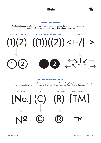

SPECIAL LIGATURES

The **Special Ligatures** offer you the possibility to get special symbols by using key combinations without glyph panel. These are activated enabling **Discretionary Ligatures.**

### **ARROWS**



### LETTER COMBINATIONS

There are also **Special letter combinations** this solution offer you the possibility to get special symbols by using key combinations without glyph panel. These are activated enabling **Discretionary Ligatures.**

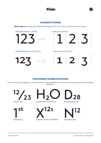



Tabular Figures are especially useful while setting columns of numbers, such as in financial reports.



### POSITIONING FIGURES/FRACTIONS

These various kind of figures are used for fractions, footnote references, chemical compounds, and as mathematical exponents.

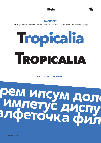

### **SMALLCAPS**

Small Caps feature substitutes lowercase with a capital versions of the letters sets within the x-height



### **SMALLCAPS FOR CYRILLIC**

# рем ипсум дол<br>Импетус диспу<br>алфеточка фил

**ZETAEONTS COM**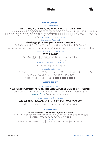



### **CHARACTER SET**

Uppercase & Accented

### ABCDEFGHIJKLMNOPQRSTUVWXYZ - ÆŒÞÐB

ÁĂÂÄĄÀĀĄÅÅÅÃÆĆČÇĈĊĎĐÉĔĚĔĖĖĖĒĖĔĞĞĜĢĠĦĤIJĺĬĨĨĨIJĬĴĶĹĽĻĿŃŇŅŊ ŊŇÓŎÔŎŎŎŎŎŌQØŎŎŔŘŖŚŠSŜSƏŦŤŢŤŰŬŨŨŨŨŨŨŨŴŴŴŴŶŶŸŶŶ

ŹŽŽ - Alternates BDEFHJKLMPRS

Lowercase & Accented

abcdefghijklmnopqrstuvwxyz - æœbðß

ááâAàāąååãæćçčċďdéĕěêëeeeeagğĝghhíĭîï¡¡¡ïĮkkll!nhňnnnñ óõôöoòőōoøøõŕřrśšsŝstťttúŭûüuùűūyůŵẅẁýŷÿỳyỹžžż alternates gefggkkyy

Figures & Mathematical notations

### 0123456789

0123456789 0123456789 0123456789

Standard & Discretionary ligatures

Th ff ffi ff i fi ft fi

**Punctuation & Symbols** 

.,:;...!;?;..\*!!#./\..(){}[]-----\_,,""''«»<>"'¢¤\$€f£\++-x÷=≠><><\==^~^∞∫Ω

△□∑√µ∂%‰↑↗→↘↓∠←↖↔¢◊@&¶§©®™

### **OTHER SCRIPT**

Cyrillic Uppercase & Lowercase

### **АБВГҐДЕЗЖИЛМНОПРСТУФХЧЦШЩЏЬЪЫЉЊЅЄІЈЋЮЯЂӨЛ - ЃЀЁЙЍЌЇ**

абвгґдежзклмнопрстуфхчцшщџьъыљњѕєэііћюя - ґѐёйѝќїђөә localized form Banzuūk Anmuwwoblo

Greek Uppercase & Lowercase

### ΑΒΓΔΕΖΗΘΙΚΛΜΝΞΟΠΡΣΤΥΦΧΨΩ - ΆΈΗΙΌΥΏΫ́

αβγδεζηθικλμνξοπρςστυφχψω - ἰΐὑϋΰὁὡἀἐἡ

### **SMALLCASE**

### **ABCDEFGHIJKLMNOPORSTUVWXYZ - ÆŒB**

ÁÁÂÀĀĄÅÃÆĆÇĈĊĎĐÉĔĚÊËĖĒƏĞĜĠĦĤĨĨĨĨijIJĨĶĹĻĿŃŇŅŊŊÑÓŎÔÖŎŐŌØØÕ ŔŘŖŚŠŞŜȘŦŤŢÚŬÛŨÙŰŪŲŮŴŴŴŶŶŸŶŹŽŻ

Cvrillic

абвгґдежзклмнопрстуфхчцшщџьъыљњѕеэіјюя - ґѐёйќї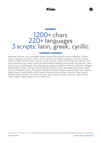

### NUMBERS

## 1200+ chars<br>220+ languages 3 scripts: latin, greek, cyrillic

### COMMON LANGUAGE

Afrikaans, Albanian, Asu, Azerbaijani, Basque, Bemba, Bena, Bosnian, Breton, Bulgarian, Catalan, Chiga, Colognian, Cornish, Croatian, Czech, Danish, Dutch, English, Esperanto, Estonian, Faroese, Filipino, Finnish, French, Friulian, Galician, Ganda, German, Greek, Gusii, Hungarian, Icelandic, Inari Sami, Indonesian, Irish, Italian, Jola-Fonyi, Kabuverdianu, Kalenjin, Kinyarwanda, Low German, Lower Sorbian, Luo, Luxembourgish, Luyia, Macedonian, Machame, Makhuwa-Meetto, Makonde, Malagasy, Malay, Maltese, Manx, Morisyen, North Ndebele, Northern Sami, Norwegian Bokmål, Norwegian Nynorsk, Nyankole, Oromo, Portuguese, Quechua, Romansh, Rombo, Rundi, Russian, Rwa, Samburu, Sango, Sangu, Scottish Gaelic, Sena, Serbian, Shambala, Shona, Slovak, Slovenian, Soga, Somali, Spanish, Swahili, Swedish, Swiss German, Taita, Teso, Turkish, Turkmen, Ukrainian, Upper Sorbian, Vunjo, Walser, Welsh, Western Frisian, Wolof, Zulu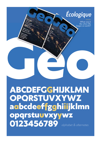Écologique

What was it like when life began on earth?

ABCDEFGGHIJKLMN OPORSTUVXYWZ aabcdeeffgghiiijklmn opgrstuuvxyywz 0123456789 alphabet & alternates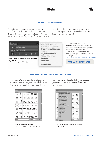



### HOW TO USE FEATURES

All Zetafonts typefaces feature extra glyphs and functions that are available with Open Type technology (works on Adobe software, Word, and newer Os). Open Type features are

activated in Illustrator, InDesign and Photoshop through multiple option checks in the  $Type \rightarrow Open Type panel.$ 



The OpenType format makes it possible to incorporate typographic features, such as small caps, ligatures, old style numerals and lining numerals, all within one font file, thereby simplifying font management and usage.

for more information check our **faq page:**

### **http://bit.ly/zetafaq**

### USE SPECIAL FEATURES AND STYLE SETS

Illustrator's Glyphs panel provides quick access to a wide range of special characters. With the Type tool, click to place the inser-



**To activate glyph panel go to:** *menu → window → type → glyph panel*

tion point, then double-click the character you want to place in the text from the Glyphs panel.



You can select the stylistic set you want to be display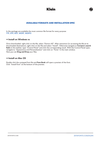



### AVAILABLE FORMATS AND INSTALLATION SPEC

In the package are available the most common file format for every purpose: **TTF, OTF, EOT, WOFF, WOFF2**

### **→ Install on Windows 10**

Once downloaded, right-click on the file, select "Extract All". After extraction (or accessing the file at its downloaded destination), right-click on the file and select "Install". Otherwise navigate to Cortana's search field on the taskbar, type "Control Panel" and click the corresponding result. With the Control Panel open, navigate to *"Appearance and Personalization"* and click on *"Fonts"* in the main window. Here you can **Drag and Drop** your files.

### **→ Install on Mac OS**

Double click the unzipped font file and Font Book will open a preview of the font. Click *"Install Font"* at the bottom of the preview.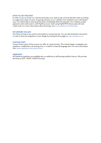### **HOW TO GET THE FONT**

In order to use our fonts in a commercial project, you need to pay a license fee that varies according to usage and number of users. Acquiring a license on our website www.zetafonts.com is the fastest way. You will be able to download the fonts immediately after the payment. Our website accepts payments with credit card or with PayPal account, both using PayPal POS that accepts all main credit cards. For more information about licensing, visit www.zetafonts.com/licensing

### **TRY BEFORE YOU BUY**

Our fonts are free to try and for personal/non-commercial use. You can download the trial version in order to test the integration in your design by visiting the font page on www.zetafonts.com

### **CUSTOM FONT**

Custom fonts is part of the services we offer as a type foundry. This include design completely new typefaces, modifications of existing ones, or creation of special language sets. For more information visit: www.zetafonts.com/custom-fonts

### **WEBFONTS**

All Zetafonts typefaces are available also as webfonts as self-hosting webfont licence. We provide the fonts as EOT, WOFF, WOFF2 formats.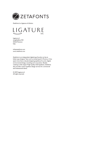

Zetafonts is a Ligature srl division



Ligature srl via ghibellina 100 50122 Florence Italy

info@zetafonts.com www.zetafonts.com

Zetafonts is an independent digital type foundry run by an Italian type designer Team and currently based in Florence. It has spent more than a decade designing typefaces for print, digital, environmental design, branding and corporation. Besides creating a wide range of high quality retail typefaces, Zetafonts also provides custom typeface design services for commercial and institutional clients.

© 2019 Ligature srl. All rights reserved.